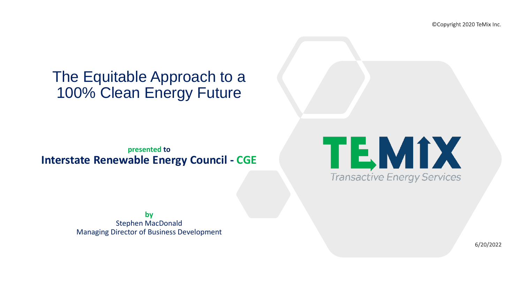## The Equitable Approach to a 100% Clean Energy Future

**presented to Interstate Renewable Energy Council - CGE**

> **by** Stephen MacDonald Managing Director of Business Development

©Copyright 2020 TeMix Inc.



6/20/2022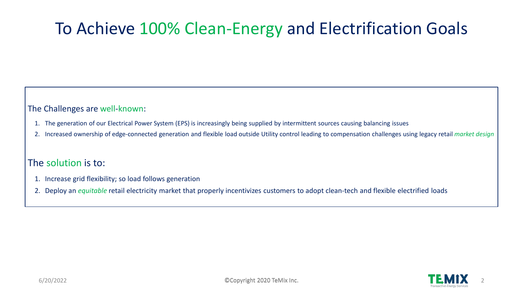# To Achieve 100% Clean-Energy and Electrification Goals

The Challenges are well-known:

- 1. The generation of our Electrical Power System (EPS) is increasingly being supplied by intermittent sources causing balancing issues
- 2. Increased ownership of edge-connected generation and flexible load outside Utility control leading to compensation challenges using legacy retail *market design*

### The solution is to:

- 1. Increase grid flexibility; so load follows generation
- 2. Deploy an *equitable* retail electricity market that properly incentivizes customers to adopt clean-tech and flexible electrified loads

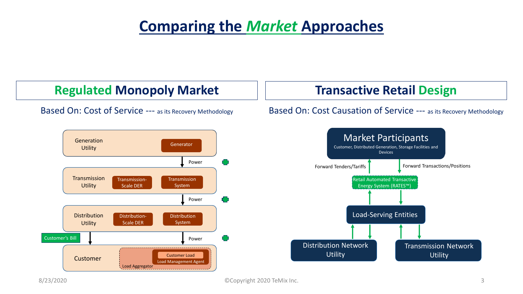## **Comparing the** *Market* **Approaches**

**Regulated Monopoly Market** 

### Based On: Cost of Service --- as its Recovery Methodology

## **Transactive Retail Design**

#### Based On: Cost Causation of Service --- as its Recovery Methodology



8/23/2020 GCopyright 2020 TeMix Inc. 3

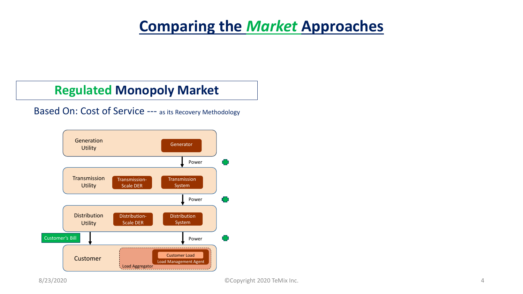## **Comparing the** *Market* **Approaches**

## **Regulated Monopoly Market**

### Based On: Cost of Service --- as its Recovery Methodology

8/23/2020 ©Copyright 2020 TeMix Inc. 4



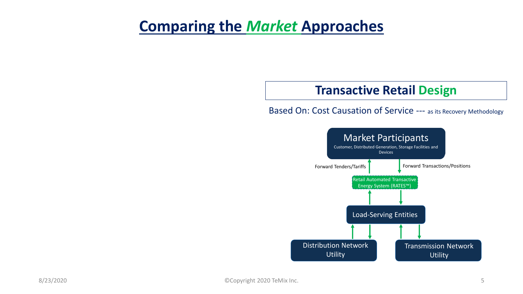## **Comparing the** *Market* **Approaches**

## **Transactive Retail Design**

### Based On: Cost Causation of Service --- as its Recovery Methodology

Distribution Network **Utility** 

8/23/2020 5



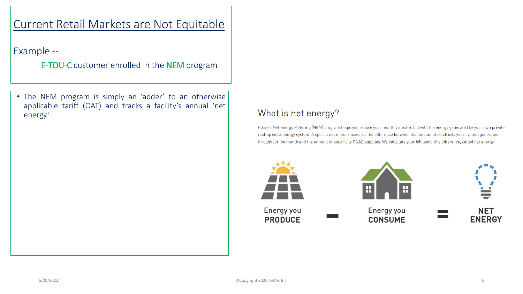Example --

E-TOU-C customer enrolled in the NEM program

• The NEM program is simply an 'adder' to an otherwise applicable tariff (OAT) and tracks a facility's annual 'net energy.'

### What is net energy?

PG&E's Net Energy Metering (NEM) program helps you reduce your monthly electric bill with the energy generated by your own private rooftop solar energy system. A special net meter measures the difference between the amount of electricity your system generates throughout the month and the amount of electricity PG&E supplies. We calculate your bill using this difference, called net energy.



Energy you **PRODUCE** 



Energy you **CONSUME** 

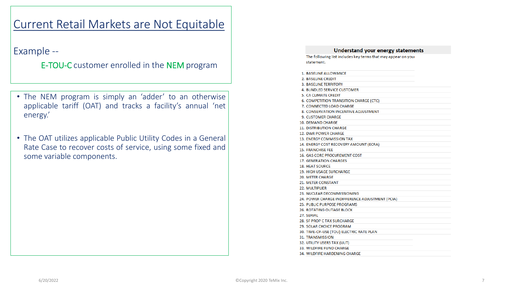Example --

E-TOU-C customer enrolled in the NEM program

- The NEM program is simply an 'adder' to an otherwise applicable tariff (OAT) and tracks a facility's annual 'net energy.'
- The OAT utilizes applicable Public Utility Codes in a General Rate Case to recover costs of service, using some fixed and some variable components.

statement.

|  | 1. BASELINE ALLOWANCE                           |
|--|-------------------------------------------------|
|  | 2. BASELINE CREDIT                              |
|  | <b>3. BASELINE TERRITORY</b>                    |
|  | 4. BUNDLED SERVICE CUSTOMER                     |
|  | 5. CA CLIMATE CREDIT                            |
|  | 6. COMPETITION TRANSITION CHARGE (CTC)          |
|  | 7. CONNECTED LOAD CHARGE                        |
|  | 8. CONSERVATION INCENTIVE ADJUSTMENT            |
|  | <b>9. CUSTOMER CHARGE</b>                       |
|  | 10. DEMAND CHARGE                               |
|  | <b>11. DISTRIBUTION CHARGE</b>                  |
|  | 12. DWR POWER CHARGE                            |
|  | 13. ENERGY COMMISSION TAX                       |
|  | 14. ENERGY COST RECOVERY AMOUNT (ECRA)          |
|  | <b>15. FRANCHISE FEE</b>                        |
|  | 16. GAS CORE PROCUREMENT COST                   |
|  | 17. GENERATION CHARGES                          |
|  | <b>18. HEAT SOURCE</b>                          |
|  | <b>19. HIGH USAGE SURCHARGE</b>                 |
|  | <b>20. METER CHARGE</b>                         |
|  | 21. METER CONSTANT                              |
|  | <b>22. MULTIPLIER</b>                           |
|  | 23. NUCLEAR DECOMMISSIONING                     |
|  | 24. POWER CHARGE INDIFFERENCE ADJUSTMENT (PCIA) |
|  | 25. PUBLIC PURPOSE PROGRAMS                     |
|  | 26. ROTATING OUTAGE BLOCK                       |
|  | 27. SERIAL                                      |
|  | 28. SF PROP C TAX SURCHARGE                     |
|  | 29. SOLAR CHOICE PROGRAM                        |
|  | 30. TIME-OF-USE (TOU) ELECTRIC RATE PLAN        |
|  | <b>31. TRANSMISSION</b>                         |
|  | 32. UTILITY USERS TAX (UUT)                     |
|  | 33. WILDFIRE FUND CHARGE                        |
|  | 34. WILDFIRE HARDENING CHARGE                   |

#### **Understand your energy statements**

The following list includes key terms that may appear on your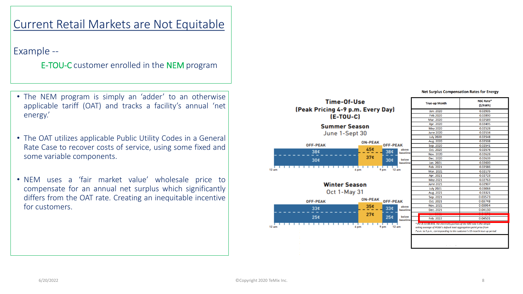Example --

E-TOU-C customer enrolled in the NEM program

- The NEM program is simply an 'adder' to an otherwise applicable tariff (OAT) and tracks a facility's annual 'net energy.'
- The OAT utilizes applicable Public Utility Codes in a General Rate Case to recover costs of service, using some fixed and some variable components.
- NEM uses a 'fair market value' wholesale price to compensate for an annual net surplus which significantly differs from the OAT rate. Creating an inequitable incentive for customers.











#### **Net Surplus Compensation Rates for Energy**

#### Time-Of-Use (Peak Pricing 4-9 p.m. Every Day)  $E-TOU-C$

| <b>True-up Month</b>                                                                                                                                                                                                          | NSC Rate*<br>(S/KWh) |  |  |
|-------------------------------------------------------------------------------------------------------------------------------------------------------------------------------------------------------------------------------|----------------------|--|--|
| Jan. 2020                                                                                                                                                                                                                     | 0.02935              |  |  |
| Feb.2020                                                                                                                                                                                                                      | 0.02890              |  |  |
| Mar. 2020                                                                                                                                                                                                                     | 0.02589              |  |  |
| Apr. 2020                                                                                                                                                                                                                     | 0.02495              |  |  |
| <b>May 2020</b>                                                                                                                                                                                                               | 0.02528              |  |  |
| <b>June 2020</b>                                                                                                                                                                                                              | 0.02534              |  |  |
| <b>July 2020</b>                                                                                                                                                                                                              | 0.02548              |  |  |
| Aug. 2020                                                                                                                                                                                                                     | 0.02538              |  |  |
| Sep. 2020                                                                                                                                                                                                                     | 0.02541              |  |  |
| Oct. 2020                                                                                                                                                                                                                     | 0.02576              |  |  |
| Nov. 2020                                                                                                                                                                                                                     | 0.02628              |  |  |
| Dec. 2020                                                                                                                                                                                                                     | 0.02639              |  |  |
| Jan. 2021                                                                                                                                                                                                                     | 0.02600              |  |  |
| Feb. 2021                                                                                                                                                                                                                     | 0.02586              |  |  |
| Mar. 2021                                                                                                                                                                                                                     | 0.02179              |  |  |
| Apr. 2021                                                                                                                                                                                                                     | 0.02723              |  |  |
| May 2021                                                                                                                                                                                                                      | 0.02763              |  |  |
| <b>June 2021</b>                                                                                                                                                                                                              | 0.02907              |  |  |
| <b>July 2021</b>                                                                                                                                                                                                              | 0.03068              |  |  |
| Aug. 2021                                                                                                                                                                                                                     | 0.03321              |  |  |
| Sep. 2021                                                                                                                                                                                                                     | 0.03573              |  |  |
| Oct. 2021                                                                                                                                                                                                                     | 0.03748              |  |  |
| Nov. 2021                                                                                                                                                                                                                     | 0.03954              |  |  |
| Dec. 2021                                                                                                                                                                                                                     | 0.04130              |  |  |
|                                                                                                                                                                                                                               |                      |  |  |
| Feb. 2022                                                                                                                                                                                                                     | 0.04501              |  |  |
| * Per D.11-06-016, the electricity portion of the NSC rate is the simple<br>rolling average of PG&E's default load aggregation point price from<br>7 a.m. to 5 p.m., corresponding to the customer's 12-month true-up period. |                      |  |  |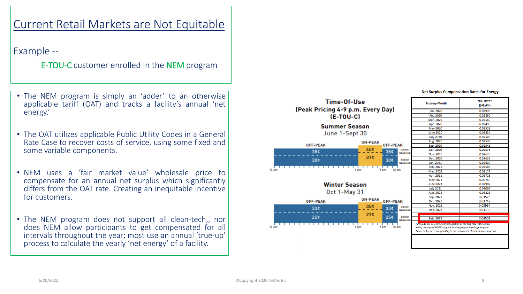Example --

E-TOU-C customer enrolled in the NEM program

- The NEM program is simply an 'adder' to an otherwise applicable tariff (OAT) and tracks a facility's annual 'net energy.'
- The OAT utilizes applicable Public Utility Codes in a General Rate Case to recover costs of service, using some fixed and some variable components.
- NEM uses a 'fair market value' wholesale price to compensate for an annual net surplus which significantly differs from the OAT rate. Creating an inequitable incentive for customers.
- The NEM program does not support all clean-tech,, nor does NEM allow participants to get compensated for all intervals throughout the year; most use an annual 'true-up' process to calculate the yearly 'net energy' of a facility.











#### **Net Surplus Compensation Rates for Energy**

#### Time-Of-Use (Peak Pricing 4-9 p.m. Every Day)  $E-TOU-C$

| <b>True-up Month</b>                                                                                                                                                                                                          | NSC Rate*<br>(S/kWh) |  |  |
|-------------------------------------------------------------------------------------------------------------------------------------------------------------------------------------------------------------------------------|----------------------|--|--|
| Jan. 2020                                                                                                                                                                                                                     | 0.02935              |  |  |
| Feb.2020                                                                                                                                                                                                                      | 0.02890              |  |  |
| Mar. 2020                                                                                                                                                                                                                     | 0.02589              |  |  |
| Apr. 2020                                                                                                                                                                                                                     | 0.02495              |  |  |
| May 2020                                                                                                                                                                                                                      | 0.02528              |  |  |
| <b>June 2020</b>                                                                                                                                                                                                              | 0.02534              |  |  |
| <b>July 2020</b>                                                                                                                                                                                                              | 0.02548              |  |  |
| Aug. 2020                                                                                                                                                                                                                     | 0.02538              |  |  |
| Sep. 2020                                                                                                                                                                                                                     | 0.02541              |  |  |
| Oct. 2020                                                                                                                                                                                                                     | 0.02576              |  |  |
| Nov. 2020                                                                                                                                                                                                                     | 0.02628              |  |  |
| Dec. 2020                                                                                                                                                                                                                     | 0.02639              |  |  |
| Jan. 2021                                                                                                                                                                                                                     | 0.02600              |  |  |
| Feb. 2021                                                                                                                                                                                                                     | 0.02586              |  |  |
| Mar. 2021                                                                                                                                                                                                                     | 0.02179              |  |  |
| Apr. 2021                                                                                                                                                                                                                     | 0.02723              |  |  |
| May 2021                                                                                                                                                                                                                      | 0.02763              |  |  |
| <b>June 2021</b>                                                                                                                                                                                                              | 0.02907              |  |  |
| <b>July 2021</b>                                                                                                                                                                                                              | 0.03068              |  |  |
| Aug. 2021                                                                                                                                                                                                                     | 0.03321              |  |  |
| Sep. 2021                                                                                                                                                                                                                     | 0.03573              |  |  |
| Oct. 2021                                                                                                                                                                                                                     | 0.03748              |  |  |
| Nov. 2021                                                                                                                                                                                                                     | 0.03954              |  |  |
| Dec. 2021                                                                                                                                                                                                                     | 0.04130              |  |  |
|                                                                                                                                                                                                                               |                      |  |  |
| Feb. 2022                                                                                                                                                                                                                     | 0.04501              |  |  |
| * Per D.11-06-016, the electricity portion of the NSC rate is the simple<br>rolling average of PG&E's default load aggregation point price from<br>7 a.m. to 5 p.m., corresponding to the customer's 12-month true-up period. |                      |  |  |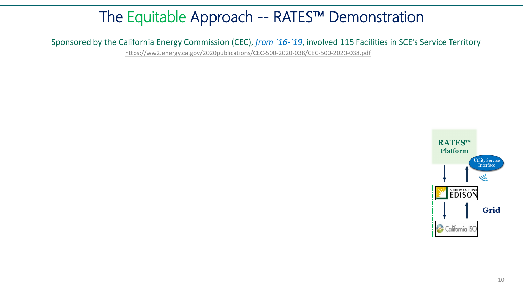<https://ww2.energy.ca.gov/2020publications/CEC-500-2020-038/CEC-500-2020-038.pdf>

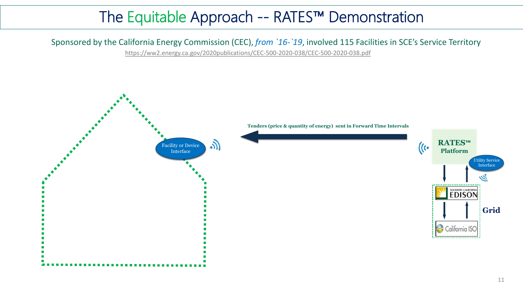<https://ww2.energy.ca.gov/2020publications/CEC-500-2020-038/CEC-500-2020-038.pdf>



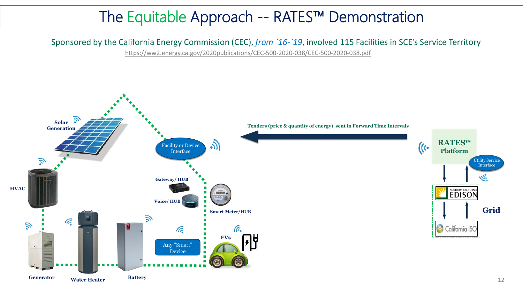<https://ww2.energy.ca.gov/2020publications/CEC-500-2020-038/CEC-500-2020-038.pdf>



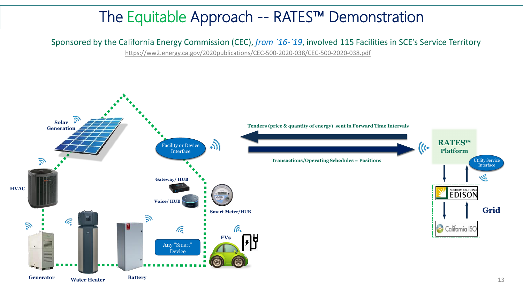<https://ww2.energy.ca.gov/2020publications/CEC-500-2020-038/CEC-500-2020-038.pdf>

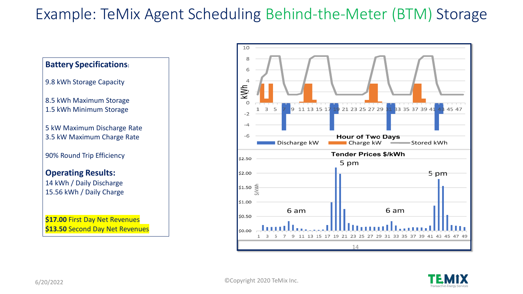6/20/2022 ©Copyright 2020 TeMix Inc.



## Example: TeMix Agent Scheduling Behind-the-Meter (BTM) Storage



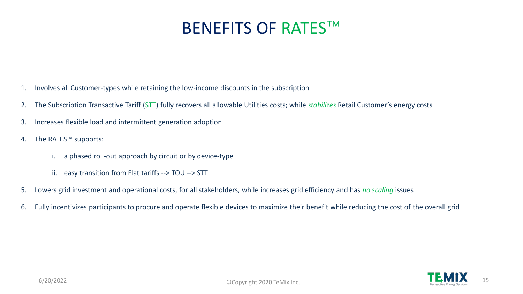

# BENEFITS OF RATES™

- 1. Involves all Customer-types while retaining the low-income discounts in the subscription
- 2. The Subscription Transactive Tariff (STT) fully recovers all allowable Utilities costs; while *stabilizes* Retail Customer's energy costs
- 3. Increases flexible load and intermittent generation adoption
- 4. The RATES™ supports:
	- i. a phased roll-out approach by circuit or by device-type
	- ii. easy transition from Flat tariffs --> TOU --> STT
- 5. Lowers grid investment and operational costs, for all stakeholders, while increases grid efficiency and has *no scaling* issues
- 6. Fully incentivizes participants to procure and operate flexible devices to maximize their benefit while reducing the cost of the overall grid